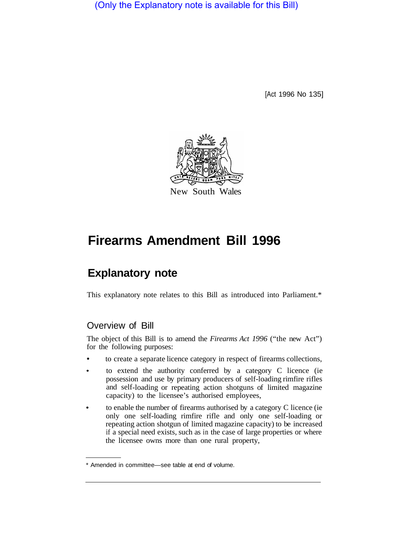(Only the Explanatory note is available for this Bill)

[Act 1996 No 135]



# **Firearms Amendment Bill 1996**

# **Explanatory note**

This explanatory note relates to this Bill as introduced into Parliament.\*

## Overview of Bill

The object of this Bill is to amend the *Firearms Act 1996* ("the new Act") for the following purposes:

- **•** to create a separate licence category in respect of firearms collections,
- to extend the authority conferred by a category C licence (ie possession and use by primary producers of self-loading rimfire rifles and self-loading or repeating action shotguns of limited magazine capacity) to the licensee's authorised employees,
- to enable the number of firearms authorised by a category C licence (ie only one self-loading rimfire rifle and only one self-loading or repeating action shotgun of limited magazine capacity) to be increased if a special need exists, such as in the case of large properties or where the licensee owns more than one rural property,

<sup>\*</sup> Amended in committee—see table at end of volume.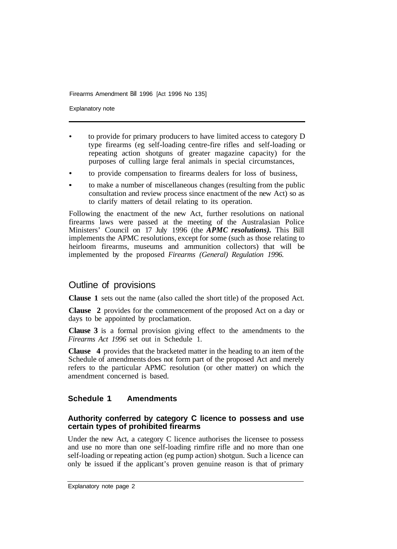Explanatory note

- **•** to provide for primary producers to have limited access to category D type firearms (eg self-loading centre-fire rifles and self-loading or repeating action shotguns of greater magazine capacity) for the purposes of culling large feral animals in special circumstances,
- to provide compensation to firearms dealers for loss of business,
- to make a number of miscellaneous changes (resulting from the public consultation and review process since enactment of the new Act) so as to clarify matters of detail relating to its operation.

Following the enactment of the new Act, further resolutions on national firearms laws were passed at the meeting of the Australasian Police Ministers' Council on 17 July 1996 (the *APMC resolutions).* This Bill implements the APMC resolutions, except for some (such as those relating to heirloom firearms, museums and ammunition collectors) that will be implemented by the proposed *Firearms (General) Regulation 1996.* 

### Outline of provisions

**Clause 1** sets out the name (also called the short title) of the proposed Act.

**Clause 2** provides for the commencement of the proposed Act on a day or days to be appointed by proclamation.

**Clause 3** is a formal provision giving effect to the amendments to the *Firearms Act 1996* set out in Schedule 1.

**Clause 4** provides that the bracketed matter in the heading to an item of the Schedule of amendments does not form part of the proposed Act and merely refers to the particular APMC resolution (or other matter) on which the amendment concerned is based.

#### **Schedule 1 Amendments**

#### **Authority conferred by category C licence to possess and use certain types of prohibited firearms**

Under the new Act, a category C licence authorises the licensee to possess and use no more than one self-loading rimfire rifle and no more than one self-loading or repeating action (eg pump action) shotgun. Such a licence can only be issued if the applicant's proven genuine reason is that of primary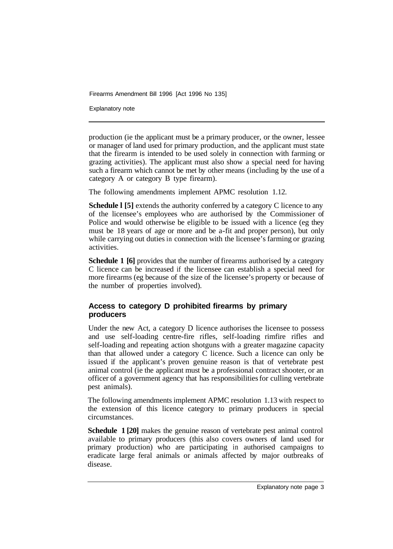Explanatory note

production (ie the applicant must be a primary producer, or the owner, lessee or manager of land used for primary production, and the applicant must state that the firearm is intended to be used solely in connection with farming or grazing activities). The applicant must also show a special need for having such a firearm which cannot be met by other means (including by the use of a category A or category B type firearm).

The following amendments implement APMC resolution 1.12.

**Schedule l [5]** extends the authority conferred by a category C licence to any of the licensee's employees who are authorised by the Commissioner of Police and would otherwise be eligible to be issued with a licence (eg they must be 18 years of age or more and be a-fit and proper person), but only while carrying out duties in connection with the licensee's farming or grazing activities.

**Schedule 1 [6]** provides that the number of firearms authorised by a category C licence can be increased if the licensee can establish a special need for more firearms (eg because of the size of the licensee's property or because of the number of properties involved).

#### **Access to category D prohibited firearms by primary producers**

Under the new Act, a category D licence authorises the licensee to possess and use self-loading centre-fire rifles, self-loading rimfire rifles and self-loading and repeating action shotguns with a greater magazine capacity than that allowed under a category C licence. Such a licence can only be issued if the applicant's proven genuine reason is that of vertebrate pest animal control (ie the applicant must be a professional contract shooter, or an officer of a government agency that has responsibilities for culling vertebrate pest animals).

The following amendments implement APMC resolution 1.13 with respect to the extension of this licence category to primary producers in special circumstances.

**Schedule 1 [20]** makes the genuine reason of vertebrate pest animal control available to primary producers (this also covers owners of land used for primary production) who are participating in authorised campaigns to eradicate large feral animals or animals affected by major outbreaks of disease.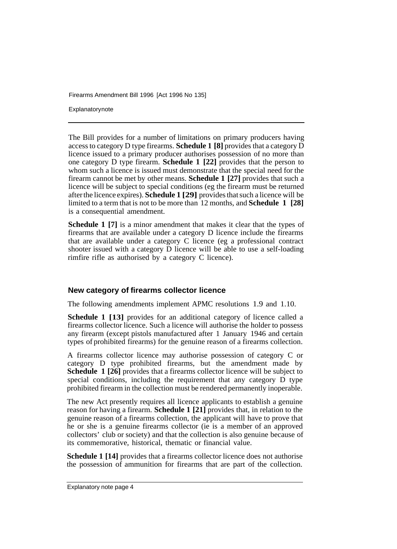**Explanatory note** 

The Bill provides for a number of limitations on primary producers having access to category D type firearms. **Schedule 1 [8]** provides that a category D licence issued to a primary producer authorises possession of no more than one category D type firearm. **Schedule 1 [22]** provides that the person to whom such a licence is issued must demonstrate that the special need for the firearm cannot be met by other means. **Schedule 1 [27]** provides that such a licence will be subject to special conditions (eg the firearm must be returned after the licence expires). **Schedule 1 [29]** provides that such a licence will be limited to a term that is not to be more than 12 months, and **Schedule 1 [28]**  is a consequential amendment.

**Schedule 1 [7]** is a minor amendment that makes it clear that the types of firearms that are available under a category D licence include the firearms that are available under a category C licence (eg a professional contract shooter issued with a category D licence will be able to use a self-loading rimfire rifle as authorised by a category C licence).

#### **New category of firearms collector licence**

The following amendments implement APMC resolutions 1.9 and 1.10.

**Schedule 1 [13]** provides for an additional category of licence called a firearms collector licence. Such a licence will authorise the holder to possess any firearm (except pistols manufactured after 1 January 1946 and certain types of prohibited firearms) for the genuine reason of a firearms collection.

A firearms collector licence may authorise possession of category C or category D type prohibited firearms, but the amendment made by **Schedule 1 [26]** provides that a firearms collector licence will be subject to special conditions, including the requirement that any category D type prohibited firearm in the collection must be rendered permanently inoperable.

The new Act presently requires all licence applicants to establish a genuine reason for having a firearm. **Schedule 1 [21]** provides that, in relation to the genuine reason of a firearms collection, the applicant will have to prove that he or she is a genuine firearms collector (ie is a member of an approved collectors' club or society) and that the collection is also genuine because of its commemorative, historical, thematic or financial value.

**Schedule 1 [14]** provides that a firearms collector licence does not authorise the possession of ammunition for firearms that are part of the collection.

Explanatory note page 4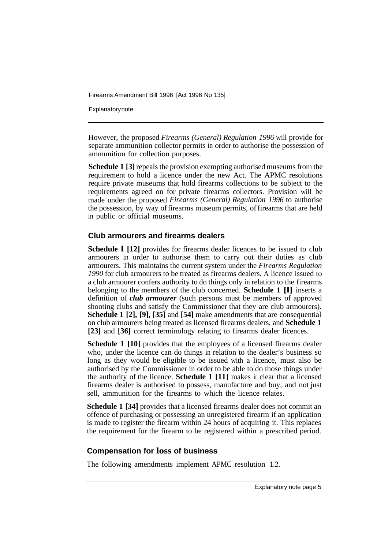**Explanatory note** 

However, the proposed *Firearms (General) Regulation 1996* will provide for separate ammunition collector permits in order to authorise the possession of ammunition for collection purposes.

**Schedule 1 [3]** repeals the provision exempting authorised museums from the requirement to hold a licence under the new Act. The APMC resolutions require private museums that hold firearms collections to be subject to the requirements agreed on for private firearms collectors. Provision will be made under the proposed *Firearms (General) Regulation 1996* to authorise the possession, by way of firearms museum permits, of firearms that are held in public or official museums.

#### **Club armourers and firearms dealers**

**Schedule l [12]** provides for firearms dealer licences to be issued to club armourers in order to authorise them to carry out their duties as club armourers. This maintains the current system under the *Firearms Regulation 1990* for club armourers to be treated as firearms dealers. A licence issued to a club armourer confers authority to do things only in relation to the firearms belonging to the members of the club concerned. **Schedule 1 [l]** inserts a definition of *club armourer* (such persons must be members of approved shooting clubs and satisfy the Commissioner that they are club armourers). **Schedule 1 [2], [9], [35]** and **[54]** make amendments that are consequential on club armourers being treated as licensed firearms dealers, and **Schedule 1 [23]** and **[36]** correct terminology relating to firearms dealer licences.

**Schedule 1 [10]** provides that the employees of a licensed firearms dealer who, under the licence can do things in relation to the dealer's business so long as they would be eligible to be issued with a licence, must also be authorised by the Commissioner in order to be able to do those things under the authority of the licence. **Schedule 1 [11]** makes it clear that a licensed firearms dealer is authorised to possess, manufacture and buy, and not just sell, ammunition for the firearms to which the licence relates.

**Schedule 1 [34]** provides that a licensed firearms dealer does not commit an offence of purchasing or possessing an unregistered firearm if an application is made to register the firearm within 24 hours of acquiring it. This replaces the requirement for the firearm to be registered within a prescribed period.

#### **Compensation for loss of business**

The following amendments implement APMC resolution 1.2.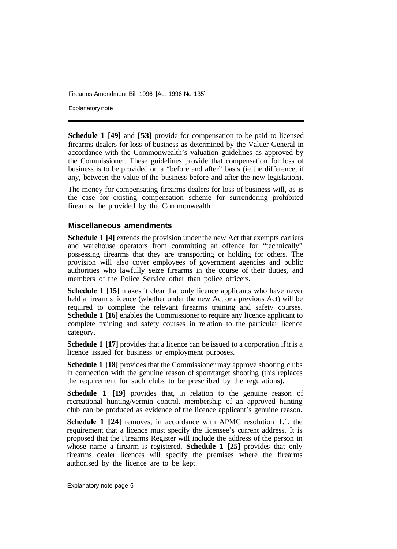Explanatory note

**Schedule 1 [49]** and **[53]** provide for compensation to be paid to licensed firearms dealers for loss of business as determined by the Valuer-General in accordance with the Commonwealth's valuation guidelines as approved by the Commissioner. These guidelines provide that compensation for loss of business is to be provided on a "before and after" basis (ie the difference, if any, between the value of the business before and after the new legislation).

The money for compensating firearms dealers for loss of business will, as is the case for existing compensation scheme for surrendering prohibited firearms, be provided by the Commonwealth.

#### **Miscellaneous amendments**

**Schedule 1 [4]** extends the provision under the new Act that exempts carriers and warehouse operators from committing an offence for "technically" possessing firearms that they are transporting or holding for others. The provision will also cover employees of government agencies and public authorities who lawfully seize firearms in the course of their duties, and members of the Police Service other than police officers.

**Schedule 1 [15]** makes it clear that only licence applicants who have never held a firearms licence (whether under the new Act or a previous Act) will be required to complete the relevant firearms training and safety courses. **Schedule 1 [16]** enables the Commissioner to require any licence applicant to complete training and safety courses in relation to the particular licence category.

**Schedule 1 [17]** provides that a licence can be issued to a corporation if it is a licence issued for business or employment purposes.

**Schedule 1 [18]** provides that the Commissioner may approve shooting clubs in connection with the genuine reason of sport/target shooting (this replaces the requirement for such clubs to be prescribed by the regulations).

**Schedule 1 [19]** provides that, in relation to the genuine reason of recreational hunting/vermin control, membership of an approved hunting club can be produced as evidence of the licence applicant's genuine reason.

**Schedule 1 [24]** removes, in accordance with APMC resolution 1.1, the requirement that a licence must specify the licensee's current address. It is proposed that the Firearms Register will include the address of the person in whose name a firearm is registered. **Schedule 1 [25]** provides that only firearms dealer licences will specify the premises where the firearms authorised by the licence are to be kept.

Explanatory note page 6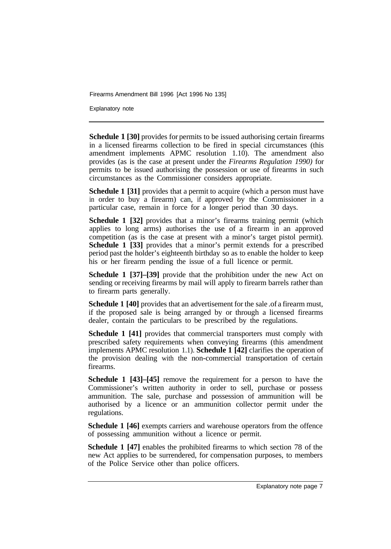Explanatory note

**Schedule 1 [30]** provides for permits to be issued authorising certain firearms in a licensed firearms collection to be fired in special circumstances (this amendment implements APMC resolution 1.10). The amendment also provides (as is the case at present under the *Firearms Regulation 1990)* for permits to be issued authorising the possession or use of firearms in such circumstances as the Commissioner considers appropriate.

**Schedule 1 [31]** provides that a permit to acquire (which a person must have in order to buy a firearm) can, if approved by the Commissioner in a particular case, remain in force for a longer period than 30 days.

**Schedule 1 [32]** provides that a minor's firearms training permit (which applies to long arms) authorises the use of a firearm in an approved competition (as is the case at present with a minor's target pistol permit). **Schedule 1 [33]** provides that a minor's permit extends for a prescribed period past the holder's eighteenth birthday so as to enable the holder to keep his or her firearm pending the issue of a full licence or permit.

**Schedule 1 [37]–[39]** provide that the prohibition under the new Act on sending or receiving firearms by mail will apply to firearm barrels rather than to firearm parts generally.

**Schedule 1 [40]** provides that an advertisement for the sale of a firearm must, if the proposed sale is being arranged by or through a licensed firearms dealer, contain the particulars to be prescribed by the regulations.

**Schedule 1 [41]** provides that commercial transporters must comply with prescribed safety requirements when conveying firearms (this amendment implements APMC resolution 1.1). **Schedule 1 [42]** clarifies the operation of the provision dealing with the non-commercial transportation of certain firearms.

**Schedule 1 [43]–[45]** remove the requirement for a person to have the Commissioner's written authority in order to sell, purchase or possess ammunition. The sale, purchase and possession of ammunition will be authorised by a licence or an ammunition collector permit under the regulations.

**Schedule 1 [46]** exempts carriers and warehouse operators from the offence of possessing ammunition without a licence or permit.

**Schedule 1 [47]** enables the prohibited firearms to which section 78 of the new Act applies to be surrendered, for compensation purposes, to members of the Police Service other than police officers.